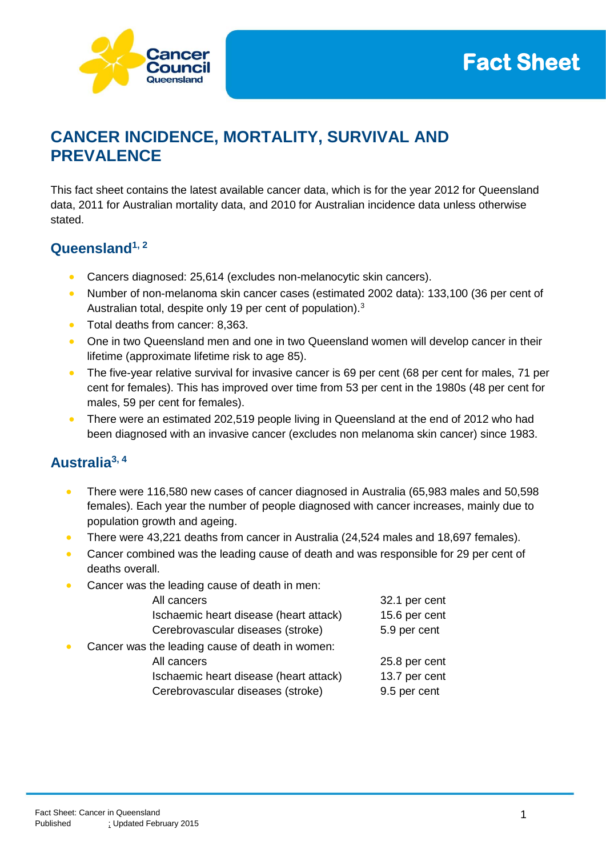



# **CANCER INCIDENCE, MORTALITY, SURVIVAL AND PREVALENCE**

This fact sheet contains the latest available cancer data, which is for the year 2012 for Queensland data, 2011 for Australian mortality data, and 2010 for Australian incidence data unless otherwise stated.

## **Queensland1, 2**

- Cancers diagnosed: 25,614 (excludes non-melanocytic skin cancers).
- Number of non-melanoma skin cancer cases (estimated 2002 data): 133,100 (36 per cent of Australian total, despite only 19 per cent of population).<sup>3</sup>
- Total deaths from cancer: 8,363.
- One in two Queensland men and one in two Queensland women will develop cancer in their lifetime (approximate lifetime risk to age 85).
- The five-year relative survival for invasive cancer is 69 per cent (68 per cent for males, 71 per cent for females). This has improved over time from 53 per cent in the 1980s (48 per cent for males, 59 per cent for females).
- There were an estimated 202,519 people living in Queensland at the end of 2012 who had been diagnosed with an invasive cancer (excludes non melanoma skin cancer) since 1983.

# **Australia3, 4**

- There were 116,580 new cases of cancer diagnosed in Australia (65,983 males and 50,598 females). Each year the number of people diagnosed with cancer increases, mainly due to population growth and ageing.
- There were 43,221 deaths from cancer in Australia (24,524 males and 18,697 females).
- Cancer combined was the leading cause of death and was responsible for 29 per cent of deaths overall.
- Cancer was the leading cause of death in men:

| All cancers                                     | 32.1 per cent |
|-------------------------------------------------|---------------|
| Ischaemic heart disease (heart attack)          | 15.6 per cent |
| Cerebrovascular diseases (stroke)               | 5.9 per cent  |
| Cancer was the leading cause of death in women: |               |
| All cancers                                     | 25.8 per cent |
| Ischaemic heart disease (heart attack)          | 13.7 per cent |
| Cerebrovascular diseases (stroke)               | 9.5 per cent  |
|                                                 |               |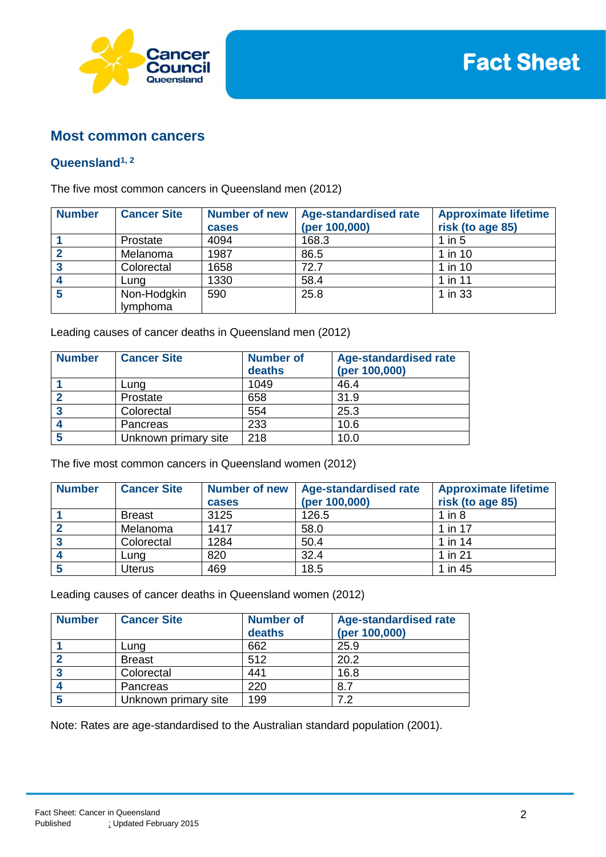

### **Most common cancers**

#### **Queensland1, 2**

The five most common cancers in Queensland men (2012)

| <b>Number</b> | <b>Cancer Site</b>      | <b>Number of new</b><br>cases | <b>Age-standardised rate</b><br>(per 100,000) | <b>Approximate lifetime</b><br>risk (to age 85) |
|---------------|-------------------------|-------------------------------|-----------------------------------------------|-------------------------------------------------|
|               | Prostate                | 4094                          | 168.3                                         | $1$ in $5$                                      |
|               | Melanoma                | 1987                          | 86.5                                          | 1 in 10                                         |
|               | Colorectal              | 1658                          | 72.7                                          | 1 in 10                                         |
|               | Luna                    | 1330                          | 58.4                                          | 1 in 11                                         |
|               | Non-Hodgkin<br>lymphoma | 590                           | 25.8                                          | 1 in 33                                         |

Leading causes of cancer deaths in Queensland men (2012)

| <b>Number</b> | <b>Cancer Site</b>   | <b>Number of</b><br>deaths | <b>Age-standardised rate</b><br>(per 100,000) |
|---------------|----------------------|----------------------------|-----------------------------------------------|
|               | Lung                 | 1049                       | 46.4                                          |
|               | Prostate             | 658                        | 31.9                                          |
| -3            | Colorectal           | 554                        | 25.3                                          |
|               | Pancreas             | 233                        | 10.6                                          |
| 5             | Unknown primary site | 218                        | 10.0                                          |

The five most common cancers in Queensland women (2012)

| <b>Number</b> | <b>Cancer Site</b> | <b>Number of new</b><br>cases | <b>Age-standardised rate</b><br>(per 100,000) | <b>Approximate lifetime</b><br>risk (to age 85) |
|---------------|--------------------|-------------------------------|-----------------------------------------------|-------------------------------------------------|
|               | <b>Breast</b>      | 3125                          | 126.5                                         | 1 in $8$                                        |
|               | Melanoma           | 1417                          | 58.0                                          | 1 in 17                                         |
|               | Colorectal         | 1284                          | 50.4                                          | 1 in 14                                         |
|               | Lung               | 820                           | 32.4                                          | 1 in 21                                         |
|               | Uterus             | 469                           | 18.5                                          | 1 in 45                                         |

Leading causes of cancer deaths in Queensland women (2012)

| <b>Number</b> | <b>Cancer Site</b>   | <b>Number of</b><br>deaths | <b>Age-standardised rate</b><br>(per 100,000) |
|---------------|----------------------|----------------------------|-----------------------------------------------|
|               | Lung                 | 662                        | 25.9                                          |
|               | <b>Breast</b>        | 512                        | 20.2                                          |
| -3            | Colorectal           | 441                        | 16.8                                          |
|               | Pancreas             | 220                        | 8.7                                           |
|               | Unknown primary site | 199                        | フ つ                                           |

Note: Rates are age-standardised to the Australian standard population (2001).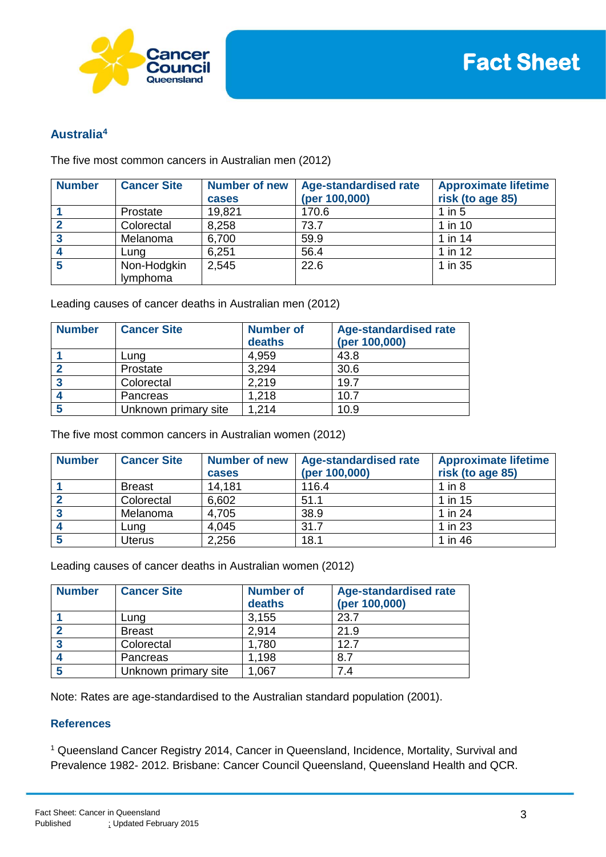

## **Australia<sup>4</sup>**

The five most common cancers in Australian men (2012)

| <b>Number</b> | <b>Cancer Site</b>      | <b>Number of new</b><br>cases | <b>Age-standardised rate</b><br>(per 100,000) | <b>Approximate lifetime</b><br>risk (to age 85) |
|---------------|-------------------------|-------------------------------|-----------------------------------------------|-------------------------------------------------|
|               | Prostate                | 19,821                        | 170.6                                         | $1$ in $5$                                      |
|               | Colorectal              | 8,258                         | 73.7                                          | 1 in 10                                         |
|               | Melanoma                | 6,700                         | 59.9                                          | 1 in 14                                         |
|               | Lung                    | 6,251                         | 56.4                                          | $1$ in $12$                                     |
|               | Non-Hodgkin<br>lymphoma | 2.545                         | 22.6                                          | 1 in 35                                         |

Leading causes of cancer deaths in Australian men (2012)

| <b>Number</b> | <b>Cancer Site</b>   | <b>Number of</b><br>deaths | <b>Age-standardised rate</b><br>(per 100,000) |
|---------------|----------------------|----------------------------|-----------------------------------------------|
|               | Lung                 | 4,959                      | 43.8                                          |
|               | Prostate             | 3,294                      | 30.6                                          |
| 3             | Colorectal           | 2,219                      | 19.7                                          |
|               | Pancreas             | 1,218                      | 10.7                                          |
|               | Unknown primary site | 1,214                      | 10.9                                          |

The five most common cancers in Australian women (2012)

| <b>Number</b> | <b>Cancer Site</b> | <b>Number of new</b><br>cases | <b>Age-standardised rate</b><br>(per 100,000) | <b>Approximate lifetime</b><br>risk (to age 85) |
|---------------|--------------------|-------------------------------|-----------------------------------------------|-------------------------------------------------|
|               | <b>Breast</b>      | 14,181                        | 116.4                                         | $1$ in $8$                                      |
|               | Colorectal         | 6,602                         | 51.1                                          | 1 in 15                                         |
| ົ             | Melanoma           | 4,705                         | 38.9                                          | 1 in 24                                         |
|               | Lung               | 4,045                         | 31.7                                          | 1 in 23                                         |
|               | Uterus             | 2,256                         | 18.1                                          | 1 in 46                                         |

Leading causes of cancer deaths in Australian women (2012)

| <b>Number</b> | <b>Cancer Site</b>   | <b>Number of</b><br>deaths | <b>Age-standardised rate</b><br>(per 100,000) |
|---------------|----------------------|----------------------------|-----------------------------------------------|
|               | Lung                 | 3,155                      | 23.7                                          |
|               | <b>Breast</b>        | 2,914                      | 21.9                                          |
| ີ             | Colorectal           | 1,780                      | 12.7                                          |
|               | Pancreas             | 1,198                      | 8.7                                           |
|               | Unknown primary site | .067                       | 7.4                                           |

Note: Rates are age-standardised to the Australian standard population (2001).

#### **References**

<sup>1</sup> Queensland Cancer Registry 2014, Cancer in Queensland, Incidence, Mortality, Survival and Prevalence 1982- 2012. Brisbane: Cancer Council Queensland, Queensland Health and QCR.